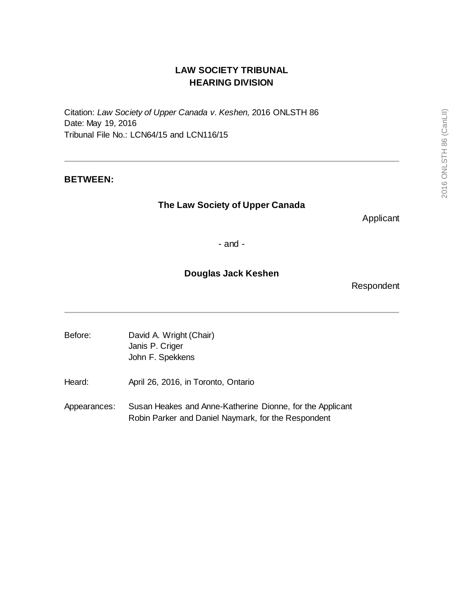# **LAW SOCIETY TRIBUNAL HEARING DIVISION**

Citation: *Law Society of Upper Canada v. Keshen,* 2016 ONLSTH 86 Date: May 19, 2016 Tribunal File No.: LCN64/15 and LCN116/15

## **BETWEEN:**

## **The Law Society of Upper Canada**

Applicant

- and -

## **Douglas Jack Keshen**

Respondent

- Before: David A. Wright (Chair) Janis P. Criger John F. Spekkens
- Heard: April 26, 2016, in Toronto, Ontario
- Appearances: Susan Heakes and Anne-Katherine Dionne, for the Applicant Robin Parker and Daniel Naymark, for the Respondent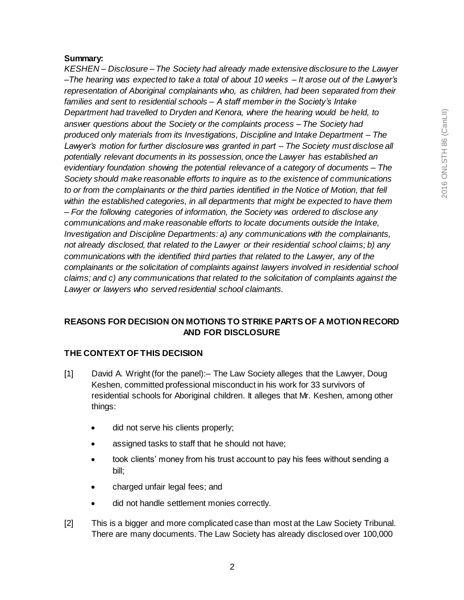## **Summary:**

*KESHEN – Disclosure – The Society had already made extensive disclosure to the Lawyer –The hearing was expected to take a total of about 10 weeks – It arose out of the Lawyer's representation of Aboriginal complainants who, as children, had been separated from their families and sent to residential schools – A staff member in the Society's Intake Department had travelled to Dryden and Kenora, where the hearing would be held, to answer questions about the Society or the complaints process – The Society had produced only materials from its Investigations, Discipline and Intake Department – The Lawyer's motion for further disclosure was granted in part – The Society must disclose all potentially relevant documents in its possession, once the Lawyer has established an evidentiary foundation showing the potential relevance of a category of documents – The Society should make reasonable efforts to inquire as to the existence of communications to or from the complainants or the third parties identified in the Notice of Motion, that fell within the established categories, in all departments that might be expected to have them – For the following categories of information, the Society was ordered to disclose any communications and make reasonable efforts to locate documents outside the Intake, Investigation and Discipline Departments: a) any communications with the complainants, not already disclosed, that related to the Lawyer or their residential school claims; b) any communications with the identified third parties that related to the Lawyer, any of the complainants or the solicitation of complaints against lawyers involved in residential school claims; and c) any communications that related to the solicitation of complaints against the Lawyer or lawyers who served residential school claimants.*

## **REASONS FOR DECISION ON MOTIONS TO STRIKE PARTS OF A MOTION RECORD AND FOR DISCLOSURE**

## **THE CONTEXT OF THIS DECISION**

- [1] David A. Wright (for the panel):– The Law Society alleges that the Lawyer, Doug Keshen, committed professional misconduct in his work for 33 survivors of residential schools for Aboriginal children. It alleges that Mr. Keshen, among other things:
	- did not serve his clients properly;
	- assigned tasks to staff that he should not have;
	- took clients' money from his trust account to pay his fees without sending a bill;
	- charged unfair legal fees; and
	- did not handle settlement monies correctly.
- [2] This is a bigger and more complicated case than most at the Law Society Tribunal. There are many documents. The Law Society has already disclosed over 100,000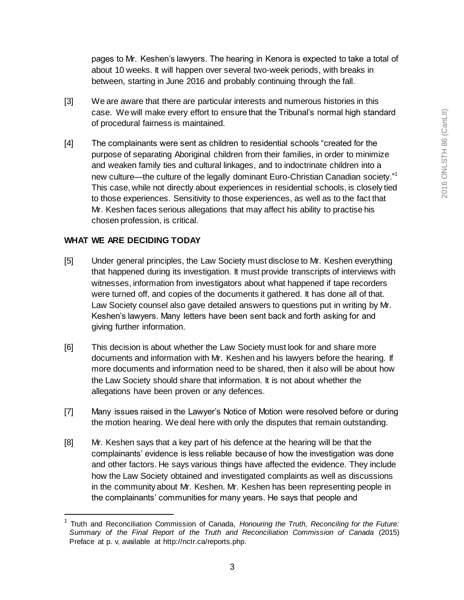pages to Mr. Keshen's lawyers. The hearing in Kenora is expected to take a total of about 10 weeks. It will happen over several two-week periods, with breaks in between, starting in June 2016 and probably continuing through the fall.

- [3] We are aware that there are particular interests and numerous histories in this case. We will make every effort to ensure that the Tribunal's normal high standard of procedural fairness is maintained.
- [4] The complainants were sent as children to residential schools "created for the purpose of separating Aboriginal children from their families, in order to minimize and weaken family ties and cultural linkages, and to indoctrinate children into a new culture—the culture of the legally dominant Euro-Christian Canadian society."<sup>1</sup> This case, while not directly about experiences in residential schools, is closely tied to those experiences. Sensitivity to those experiences, as well as to the fact that Mr. Keshen faces serious allegations that may affect his ability to practise his chosen profession, is critical.

#### **WHAT WE ARE DECIDING TODAY**

 $\overline{a}$ 

- [5] Under general principles, the Law Society must disclose to Mr. Keshen everything that happened during its investigation. It must provide transcripts of interviews with witnesses, information from investigators about what happened if tape recorders were turned off, and copies of the documents it gathered. It has done all of that. Law Society counsel also gave detailed answers to questions put in writing by Mr. Keshen's lawyers. Many letters have been sent back and forth asking for and giving further information.
- [6] This decision is about whether the Law Society must look for and share more documents and information with Mr. Keshen and his lawyers before the hearing. If more documents and information need to be shared, then it also will be about how the Law Society should share that information. It is not about whether the allegations have been proven or any defences.
- [7] Many issues raised in the Lawyer's Notice of Motion were resolved before or during the motion hearing. We deal here with only the disputes that remain outstanding.
- [8] Mr. Keshen says that a key part of his defence at the hearing will be that the complainants' evidence is less reliable because of how the investigation was done and other factors. He says various things have affected the evidence. They include how the Law Society obtained and investigated complaints as well as discussions in the community about Mr. Keshen. Mr. Keshen has been representing people in the complainants' communities for many years. He says that people and

<sup>1</sup> Truth and Reconciliation Commission of Canada, *Honouring the Truth, Reconciling for the Future: Summary of the Final Report of the Truth and Reconciliation Commission of Canada* (2015) Preface at p. v, available at http://nctr.ca/reports.php.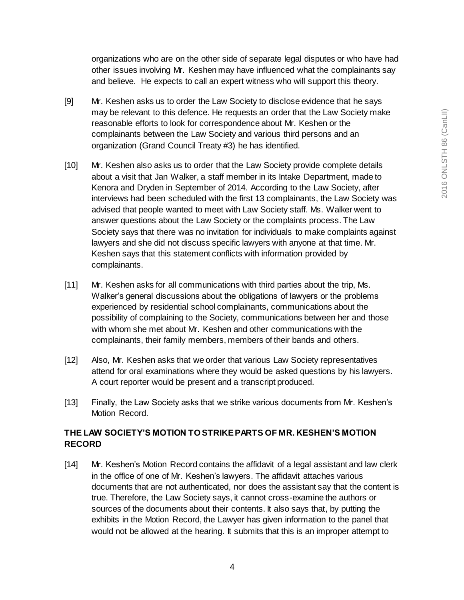organizations who are on the other side of separate legal disputes or who have had other issues involving Mr. Keshen may have influenced what the complainants say and believe. He expects to call an expert witness who will support this theory.

- [9] Mr. Keshen asks us to order the Law Society to disclose evidence that he says may be relevant to this defence. He requests an order that the Law Society make reasonable efforts to look for correspondence about Mr. Keshen or the complainants between the Law Society and various third persons and an organization (Grand Council Treaty #3) he has identified.
- [10] Mr. Keshen also asks us to order that the Law Society provide complete details about a visit that Jan Walker, a staff member in its Intake Department, made to Kenora and Dryden in September of 2014. According to the Law Society, after interviews had been scheduled with the first 13 complainants, the Law Society was advised that people wanted to meet with Law Society staff. Ms. Walker went to answer questions about the Law Society or the complaints process. The Law Society says that there was no invitation for individuals to make complaints against lawyers and she did not discuss specific lawyers with anyone at that time. Mr. Keshen says that this statement conflicts with information provided by complainants.
- [11] Mr. Keshen asks for all communications with third parties about the trip, Ms. Walker's general discussions about the obligations of lawyers or the problems experienced by residential school complainants, communications about the possibility of complaining to the Society, communications between her and those with whom she met about Mr. Keshen and other communications with the complainants, their family members, members of their bands and others.
- [12] Also, Mr. Keshen asks that we order that various Law Society representatives attend for oral examinations where they would be asked questions by his lawyers. A court reporter would be present and a transcript produced.
- [13] Finally, the Law Society asks that we strike various documents from Mr. Keshen's Motion Record.

## **THE LAW SOCIETY'S MOTION TO STRIKE PARTS OF MR. KESHEN'S MOTION RECORD**

[14] Mr. Keshen's Motion Record contains the affidavit of a legal assistant and law clerk in the office of one of Mr. Keshen's lawyers. The affidavit attaches various documents that are not authenticated, nor does the assistant say that the content is true. Therefore, the Law Society says, it cannot cross-examine the authors or sources of the documents about their contents. It also says that, by putting the exhibits in the Motion Record, the Lawyer has given information to the panel that would not be allowed at the hearing. It submits that this is an improper attempt to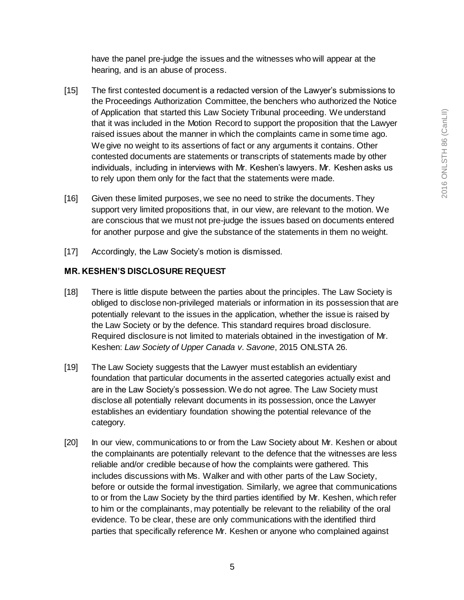have the panel pre-judge the issues and the witnesses who will appear at the hearing, and is an abuse of process.

- [15] The first contested document is a redacted version of the Lawyer's submissions to the Proceedings Authorization Committee, the benchers who authorized the Notice of Application that started this Law Society Tribunal proceeding. We understand that it was included in the Motion Record to support the proposition that the Lawyer raised issues about the manner in which the complaints came in some time ago. We give no weight to its assertions of fact or any arguments it contains. Other contested documents are statements or transcripts of statements made by other individuals, including in interviews with Mr. Keshen's lawyers. Mr. Keshen asks us to rely upon them only for the fact that the statements were made.
- [16] Given these limited purposes, we see no need to strike the documents. They support very limited propositions that, in our view, are relevant to the motion. We are conscious that we must not pre-judge the issues based on documents entered for another purpose and give the substance of the statements in them no weight.
- [17] Accordingly, the Law Society's motion is dismissed.

#### **MR. KESHEN'S DISCLOSURE REQUEST**

- [18] There is little dispute between the parties about the principles. The Law Society is obliged to disclose non-privileged materials or information in its possession that are potentially relevant to the issues in the application, whether the issue is raised by the Law Society or by the defence. This standard requires broad disclosure. Required disclosure is not limited to materials obtained in the investigation of Mr. Keshen: *Law Society of Upper Canada v. Savone*, 2015 ONLSTA 26.
- [19] The Law Society suggests that the Lawyer must establish an evidentiary foundation that particular documents in the asserted categories actually exist and are in the Law Society's possession. We do not agree. The Law Society must disclose all potentially relevant documents in its possession, once the Lawyer establishes an evidentiary foundation showing the potential relevance of the category.
- [20] In our view, communications to or from the Law Society about Mr. Keshen or about the complainants are potentially relevant to the defence that the witnesses are less reliable and/or credible because of how the complaints were gathered. This includes discussions with Ms. Walker and with other parts of the Law Society, before or outside the formal investigation. Similarly, we agree that communications to or from the Law Society by the third parties identified by Mr. Keshen, which refer to him or the complainants, may potentially be relevant to the reliability of the oral evidence. To be clear, these are only communications with the identified third parties that specifically reference Mr. Keshen or anyone who complained against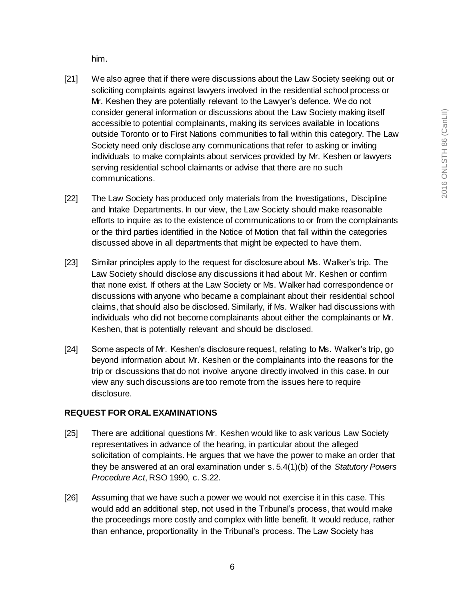him.

- [21] We also agree that if there were discussions about the Law Society seeking out or soliciting complaints against lawyers involved in the residential school process or Mr. Keshen they are potentially relevant to the Lawyer's defence. We do not consider general information or discussions about the Law Society making itself accessible to potential complainants, making its services available in locations outside Toronto or to First Nations communities to fall within this category. The Law Society need only disclose any communications that refer to asking or inviting individuals to make complaints about services provided by Mr. Keshen or lawyers serving residential school claimants or advise that there are no such communications.
- [22] The Law Society has produced only materials from the Investigations, Discipline and Intake Departments. In our view, the Law Society should make reasonable efforts to inquire as to the existence of communications to or from the complainants or the third parties identified in the Notice of Motion that fall within the categories discussed above in all departments that might be expected to have them.
- [23] Similar principles apply to the request for disclosure about Ms. Walker's trip. The Law Society should disclose any discussions it had about Mr. Keshen or confirm that none exist. If others at the Law Society or Ms. Walker had correspondence or discussions with anyone who became a complainant about their residential school claims, that should also be disclosed. Similarly, if Ms. Walker had discussions with individuals who did not become complainants about either the complainants or Mr. Keshen, that is potentially relevant and should be disclosed.
- [24] Some aspects of Mr. Keshen's disclosure request, relating to Ms. Walker's trip, go beyond information about Mr. Keshen or the complainants into the reasons for the trip or discussions that do not involve anyone directly involved in this case. In our view any such discussions are too remote from the issues here to require disclosure.

## **REQUEST FOR ORAL EXAMINATIONS**

- [25] There are additional questions Mr. Keshen would like to ask various Law Society representatives in advance of the hearing, in particular about the alleged solicitation of complaints. He argues that we have the power to make an order that they be answered at an oral examination under s. 5.4(1)(b) of the *Statutory Powers Procedure Act*, RSO 1990, c. S.22.
- [26] Assuming that we have such a power we would not exercise it in this case. This would add an additional step, not used in the Tribunal's process, that would make the proceedings more costly and complex with little benefit. It would reduce, rather than enhance, proportionality in the Tribunal's process. The Law Society has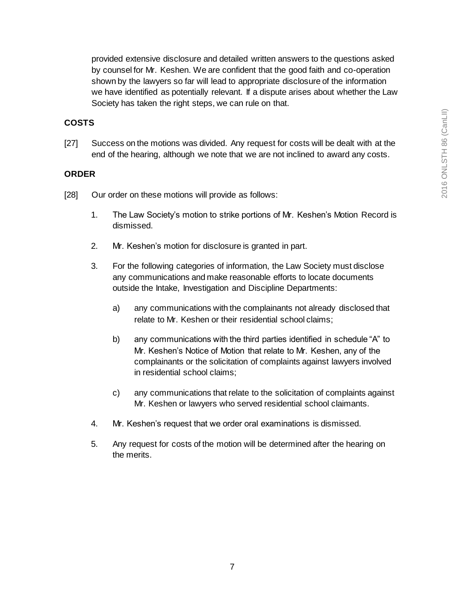provided extensive disclosure and detailed written answers to the questions asked by counsel for Mr. Keshen. We are confident that the good faith and co-operation shown by the lawyers so far will lead to appropriate disclosure of the information we have identified as potentially relevant. If a dispute arises about whether the Law Society has taken the right steps, we can rule on that.

## **COSTS**

[27] Success on the motions was divided. Any request for costs will be dealt with at the end of the hearing, although we note that we are not inclined to award any costs.

#### **ORDER**

- [28] Our order on these motions will provide as follows:
	- 1. The Law Society's motion to strike portions of Mr. Keshen's Motion Record is dismissed.
	- 2. Mr. Keshen's motion for disclosure is granted in part.
	- 3. For the following categories of information, the Law Society must disclose any communications and make reasonable efforts to locate documents outside the Intake, Investigation and Discipline Departments:
		- a) any communications with the complainants not already disclosed that relate to Mr. Keshen or their residential school claims;
		- b) any communications with the third parties identified in schedule "A" to Mr. Keshen's Notice of Motion that relate to Mr. Keshen, any of the complainants or the solicitation of complaints against lawyers involved in residential school claims;
		- c) any communications that relate to the solicitation of complaints against Mr. Keshen or lawyers who served residential school claimants.
	- 4. Mr. Keshen's request that we order oral examinations is dismissed.
	- 5. Any request for costs of the motion will be determined after the hearing on the merits.